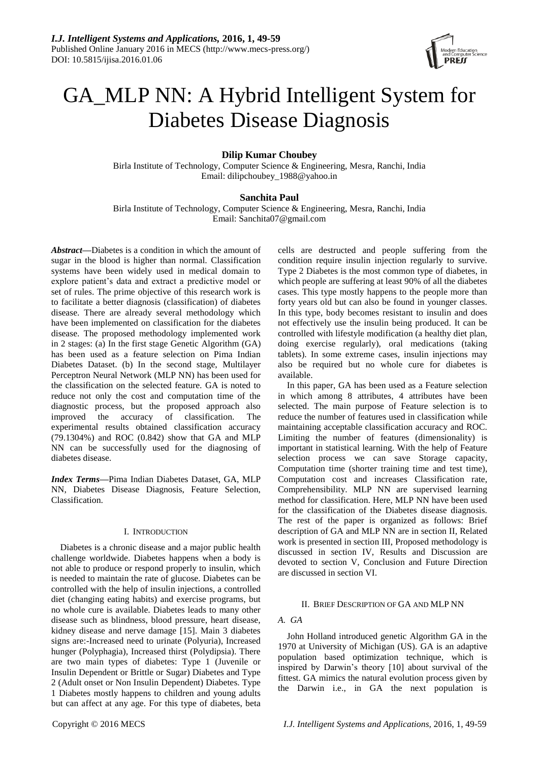

# GA\_MLP NN: A Hybrid Intelligent System for Diabetes Disease Diagnosis

# **Dilip Kumar Choubey**

Birla Institute of Technology, Computer Science & Engineering, Mesra, Ranchi, India Email: dilipchoubey\_1988@yahoo.in

# **Sanchita Paul**

Birla Institute of Technology, Computer Science & Engineering, Mesra, Ranchi, India Email: Sanchita07@gmail.com

*Abstract—*Diabetes is a condition in which the amount of sugar in the blood is higher than normal. Classification systems have been widely used in medical domain to explore patient's data and extract a predictive model or set of rules. The prime objective of this research work is to facilitate a better diagnosis (classification) of diabetes disease. There are already several methodology which have been implemented on classification for the diabetes disease. The proposed methodology implemented work in 2 stages: (a) In the first stage Genetic Algorithm (GA) has been used as a feature selection on Pima Indian Diabetes Dataset. (b) In the second stage, Multilayer Perceptron Neural Network (MLP NN) has been used for the classification on the selected feature. GA is noted to reduce not only the cost and computation time of the diagnostic process, but the proposed approach also improved the accuracy of classification. The experimental results obtained classification accuracy (79.1304%) and ROC (0.842) show that GA and MLP NN can be successfully used for the diagnosing of diabetes disease.

*Index Terms***—**Pima Indian Diabetes Dataset, GA, MLP NN, Diabetes Disease Diagnosis, Feature Selection, Classification.

#### I. INTRODUCTION

Diabetes is a chronic disease and a major public health challenge worldwide. Diabetes happens when a body is not able to produce or respond properly to insulin, which is needed to maintain the rate of glucose. Diabetes can be controlled with the help of insulin injections, a controlled diet (changing eating habits) and exercise programs, but no whole cure is available. Diabetes leads to many other disease such as blindness, blood pressure, heart disease, kidney disease and nerve damage [15]. Main 3 diabetes signs are:-Increased need to urinate (Polyuria), Increased hunger (Polyphagia), Increased thirst (Polydipsia). There are two main types of diabetes: Type 1 (Juvenile or Insulin Dependent or Brittle or Sugar) Diabetes and Type 2 (Adult onset or Non Insulin Dependent) Diabetes. Type 1 Diabetes mostly happens to children and young adults but can affect at any age. For this type of diabetes, beta cells are destructed and people suffering from the condition require insulin injection regularly to survive. Type 2 Diabetes is the most common type of diabetes, in which people are suffering at least 90% of all the diabetes cases. This type mostly happens to the people more than forty years old but can also be found in younger classes. In this type, body becomes resistant to insulin and does not effectively use the insulin being produced. It can be controlled with lifestyle modification (a healthy diet plan, doing exercise regularly), oral medications (taking tablets). In some extreme cases, insulin injections may also be required but no whole cure for diabetes is available.

In this paper, GA has been used as a Feature selection in which among 8 attributes, 4 attributes have been selected. The main purpose of Feature selection is to reduce the number of features used in classification while maintaining acceptable classification accuracy and ROC. Limiting the number of features (dimensionality) is important in statistical learning. With the help of Feature selection process we can save Storage capacity, Computation time (shorter training time and test time), Computation cost and increases Classification rate, Comprehensibility. MLP NN are supervised learning method for classification. Here, MLP NN have been used for the classification of the Diabetes disease diagnosis. The rest of the paper is organized as follows: Brief description of GA and MLP NN are in section II, Related work is presented in section III, Proposed methodology is discussed in section IV, Results and Discussion are devoted to section V, Conclusion and Future Direction are discussed in section VI.

# II. BRIEF DESCRIPTION OF GA AND MLP NN

# *A. GA*

John Holland introduced genetic Algorithm GA in the 1970 at University of Michigan (US). GA is an adaptive population based optimization technique, which is inspired by Darwin's theory [10] about survival of the fittest. GA mimics the natural evolution process given by the Darwin i.e., in GA the next population is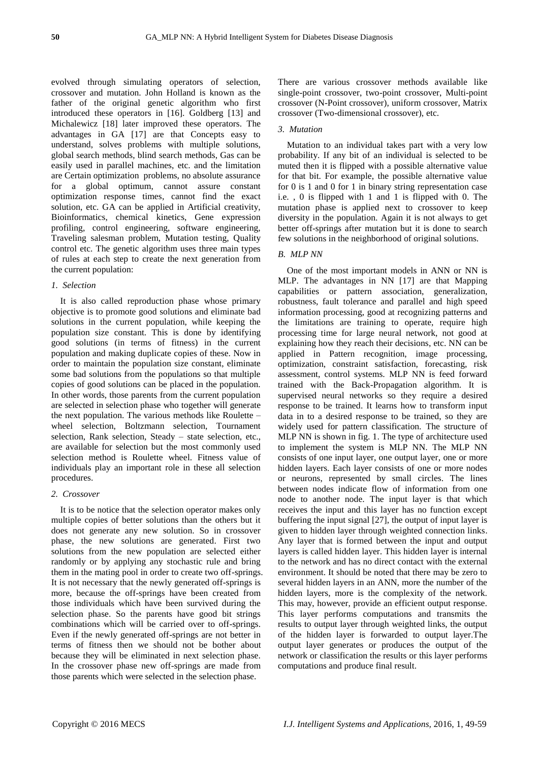evolved through simulating operators of selection, crossover and mutation. John Holland is known as the father of the original genetic algorithm who first introduced these operators in [16]. Goldberg [13] and Michalewicz [18] later improved these operators. The advantages in GA [17] are that Concepts easy to understand, solves problems with multiple solutions, global search methods, blind search methods, Gas can be easily used in parallel machines, etc. and the limitation are Certain optimization problems, no absolute assurance for a global optimum, cannot assure constant optimization response times, cannot find the exact solution, etc. GA can be applied in Artificial creativity, Bioinformatics, chemical kinetics, Gene expression profiling, control engineering, software engineering, Traveling salesman problem, Mutation testing, Quality control etc. The genetic algorithm uses three main types of rules at each step to create the next generation from the current population:

# *1. Selection*

It is also called reproduction phase whose primary objective is to promote good solutions and eliminate bad solutions in the current population, while keeping the population size constant. This is done by identifying good solutions (in terms of fitness) in the current population and making duplicate copies of these. Now in order to maintain the population size constant, eliminate some bad solutions from the populations so that multiple copies of good solutions can be placed in the population. In other words, those parents from the current population are selected in selection phase who together will generate the next population. The various methods like Roulette – wheel selection, Boltzmann selection, Tournament selection, Rank selection, Steady – state selection, etc., are available for selection but the most commonly used selection method is Roulette wheel. Fitness value of individuals play an important role in these all selection procedures.

# *2. Crossover*

It is to be notice that the selection operator makes only multiple copies of better solutions than the others but it does not generate any new solution. So in crossover phase, the new solutions are generated. First two solutions from the new population are selected either randomly or by applying any stochastic rule and bring them in the mating pool in order to create two off-springs. It is not necessary that the newly generated off-springs is more, because the off-springs have been created from those individuals which have been survived during the selection phase. So the parents have good bit strings combinations which will be carried over to off-springs. Even if the newly generated off-springs are not better in terms of fitness then we should not be bother about because they will be eliminated in next selection phase. In the crossover phase new off-springs are made from those parents which were selected in the selection phase.

There are various crossover methods available like single-point crossover, two-point crossover, Multi-point crossover (N-Point crossover), uniform crossover, Matrix crossover (Two-dimensional crossover), etc.

#### *3. Mutation*

Mutation to an individual takes part with a very low probability. If any bit of an individual is selected to be muted then it is flipped with a possible alternative value for that bit. For example, the possible alternative value for 0 is 1 and 0 for 1 in binary string representation case i.e. , 0 is flipped with 1 and 1 is flipped with 0. The mutation phase is applied next to crossover to keep diversity in the population. Again it is not always to get better off-springs after mutation but it is done to search few solutions in the neighborhood of original solutions.

# *B. MLP NN*

One of the most important models in ANN or NN is MLP. The advantages in NN [17] are that Mapping capabilities or pattern association, generalization, robustness, fault tolerance and parallel and high speed information processing, good at recognizing patterns and the limitations are training to operate, require high processing time for large neural network, not good at explaining how they reach their decisions, etc. NN can be applied in Pattern recognition, image processing, optimization, constraint satisfaction, forecasting, risk assessment, control systems. MLP NN is feed forward trained with the Back-Propagation algorithm. It is supervised neural networks so they require a desired response to be trained. It learns how to transform input data in to a desired response to be trained, so they are widely used for pattern classification. The structure of MLP NN is shown in fig. 1. The type of architecture used to implement the system is MLP NN. The MLP NN consists of one input layer, one output layer, one or more hidden layers. Each layer consists of one or more nodes or neurons, represented by small circles. The lines between nodes indicate flow of information from one node to another node. The input layer is that which receives the input and this layer has no function except buffering the input signal [27], the output of input layer is given to hidden layer through weighted connection links. Any layer that is formed between the input and output layers is called hidden layer. This hidden layer is internal to the network and has no direct contact with the external environment. It should be noted that there may be zero to several hidden layers in an ANN, more the number of the hidden layers, more is the complexity of the network. This may, however, provide an efficient output response. This layer performs computations and transmits the results to output layer through weighted links, the output of the hidden layer is forwarded to output layer.The output layer generates or produces the output of the network or classification the results or this layer performs computations and produce final result.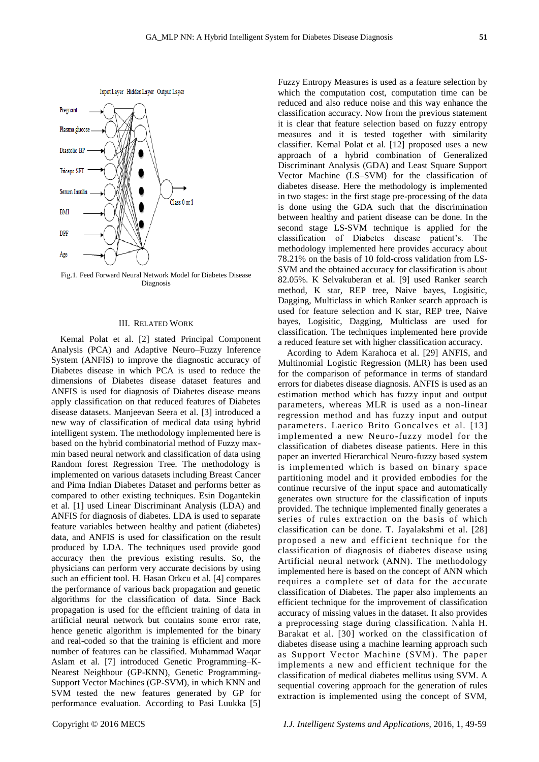Input Layer Hidden Layer Output Layer



Fig.1. Feed Forward Neural Network Model for Diabetes Disease Diagnosis

## III. RELATED WORK

Kemal Polat et al. [2] stated Principal Component Analysis (PCA) and Adaptive Neuro–Fuzzy Inference System (ANFIS) to improve the diagnostic accuracy of Diabetes disease in which PCA is used to reduce the dimensions of Diabetes disease dataset features and ANFIS is used for diagnosis of Diabetes disease means apply classification on that reduced features of Diabetes disease datasets. Manjeevan Seera et al. [3] introduced a new way of classification of medical data using hybrid intelligent system. The methodology implemented here is based on the hybrid combinatorial method of Fuzzy maxmin based neural network and classification of data using Random forest Regression Tree. The methodology is implemented on various datasets including Breast Cancer and Pima Indian Diabetes Dataset and performs better as compared to other existing techniques. Esin Dogantekin et al. [1] used Linear Discriminant Analysis (LDA) and ANFIS for diagnosis of diabetes. LDA is used to separate feature variables between healthy and patient (diabetes) data, and ANFIS is used for classification on the result produced by LDA. The techniques used provide good accuracy then the previous existing results. So, the physicians can perform very accurate decisions by using such an efficient tool. H. Hasan Orkcu et al. [4] compares the performance of various back propagation and genetic algorithms for the classification of data. Since Back propagation is used for the efficient training of data in artificial neural network but contains some error rate, hence genetic algorithm is implemented for the binary and real-coded so that the training is efficient and more number of features can be classified. Muhammad Waqar Aslam et al. [7] introduced Genetic Programming–K-Nearest Neighbour (GP-KNN), Genetic Programming-Support Vector Machines (GP-SVM), in which KNN and SVM tested the new features generated by GP for performance evaluation. According to Pasi Luukka [5]

Fuzzy Entropy Measures is used as a feature selection by which the computation cost, computation time can be reduced and also reduce noise and this way enhance the classification accuracy. Now from the previous statement it is clear that feature selection based on fuzzy entropy measures and it is tested together with similarity classifier. Kemal Polat et al. [12] proposed uses a new approach of a hybrid combination of Generalized Discriminant Analysis (GDA) and Least Square Support Vector Machine (LS–SVM) for the classification of diabetes disease. Here the methodology is implemented in two stages: in the first stage pre-processing of the data is done using the GDA such that the discrimination between healthy and patient disease can be done. In the second stage LS-SVM technique is applied for the classification of Diabetes disease patient's. The methodology implemented here provides accuracy about 78.21% on the basis of 10 fold-cross validation from LS-SVM and the obtained accuracy for classification is about 82.05%. K Selvakuberan et al. [9] used Ranker search method, K star, REP tree, Naive bayes, Logisitic, Dagging, Multiclass in which Ranker search approach is used for feature selection and K star, REP tree, Naive bayes, Logisitic, Dagging, Multiclass are used for classification. The techniques implemented here provide a reduced feature set with higher classification accuracy.

Acording to Adem Karahoca et al. [29] ANFIS, and Multinomial Logistic Regression (MLR) has been used for the comparison of peformance in terms of standard errors for diabetes disease diagnosis. ANFIS is used as an estimation method which has fuzzy input and output parameters, whereas MLR is used as a non-linear regression method and has fuzzy input and output parameters. Laerico Brito Goncalves et al. [13] implemented a new Neuro-fuzzy model for the classification of diabetes disease patients. Here in this paper an inverted Hierarchical Neuro-fuzzy based system is implemented which is based on binary space partitioning model and it provided embodies for the continue recursive of the input space and automatically generates own structure for the classification of inputs provided. The technique implemented finally generates a series of rules extraction on the basis of which classification can be done. T. Jayalakshmi et al. [28] proposed a new and efficient technique for the classification of diagnosis of diabetes disease using Artificial neural network (ANN). The methodology implemented here is based on the concept of ANN which requires a complete set of data for the accurate classification of Diabetes. The paper also implements an efficient technique for the improvement of classification accuracy of missing values in the dataset. It also provides a preprocessing stage during classification. Nahla H. Barakat et al. [30] worked on the classification of diabetes disease using a machine learning approach such as Support Vector Machine (SVM). The paper implements a new and efficient technique for the classification of medical diabetes mellitus using SVM. A sequential covering approach for the generation of rules extraction is implemented using the concept of SVM,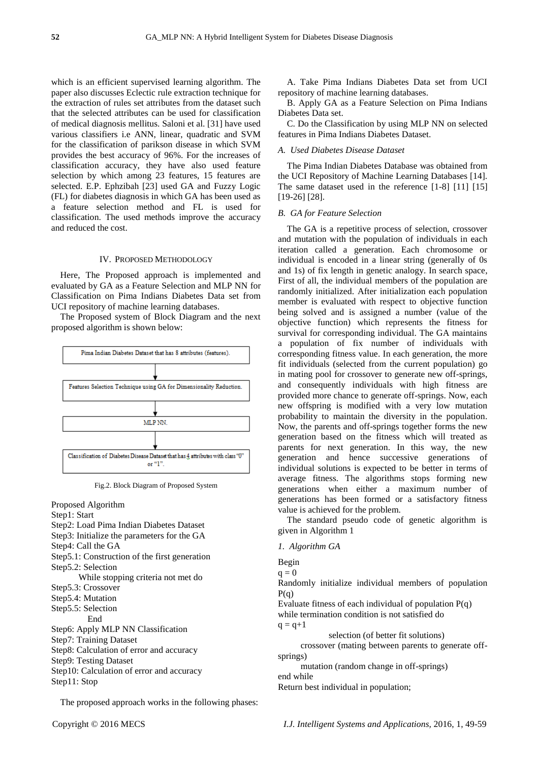which is an efficient supervised learning algorithm. The paper also discusses Eclectic rule extraction technique for the extraction of rules set attributes from the dataset such that the selected attributes can be used for classification of medical diagnosis mellitus. Saloni et al. [31] have used various classifiers i.e ANN, linear, quadratic and SVM for the classification of parikson disease in which SVM provides the best accuracy of 96%. For the increases of classification accuracy, they have also used feature selection by which among 23 features, 15 features are selected. E.P. Ephzibah [23] used GA and Fuzzy Logic (FL) for diabetes diagnosis in which GA has been used as a feature selection method and FL is used for classification. The used methods improve the accuracy and reduced the cost.

## IV. PROPOSED METHODOLOGY

Here, The Proposed approach is implemented and evaluated by GA as a Feature Selection and MLP NN for Classification on Pima Indians Diabetes Data set from UCI repository of machine learning databases.

The Proposed system of Block Diagram and the next proposed algorithm is shown below:



Fig.2. Block Diagram of Proposed System

Proposed Algorithm Step1: Start Step2: Load Pima Indian Diabetes Dataset Step3: Initialize the parameters for the GA Step4: Call the GA Step5.1: Construction of the first generation Step5.2: Selection While stopping criteria not met do Step5.3: Crossover Step5.4: Mutation Step5.5: Selection End Step6: Apply MLP NN Classification Step7: Training Dataset Step8: Calculation of error and accuracy Step9: Testing Dataset Step10: Calculation of error and accuracy Step11: Stop

The proposed approach works in the following phases:

A. Take Pima Indians Diabetes Data set from UCI repository of machine learning databases.

B. Apply GA as a Feature Selection on Pima Indians Diabetes Data set.

C. Do the Classification by using MLP NN on selected features in Pima Indians Diabetes Dataset.

# *A. Used Diabetes Disease Dataset*

The Pima Indian Diabetes Database was obtained from the UCI Repository of Machine Learning Databases [14]. The same dataset used in the reference [1-8] [11] [15] [19-26] [28].

# *B. GA for Feature Selection*

The GA is a repetitive process of selection, crossover and mutation with the population of individuals in each iteration called a generation. Each chromosome or individual is encoded in a linear string (generally of 0s and 1s) of fix length in genetic analogy. In search space, First of all, the individual members of the population are randomly initialized. After initialization each population member is evaluated with respect to objective function being solved and is assigned a number (value of the objective function) which represents the fitness for survival for corresponding individual. The GA maintains a population of fix number of individuals with corresponding fitness value. In each generation, the more fit individuals (selected from the current population) go in mating pool for crossover to generate new off-springs, and consequently individuals with high fitness are provided more chance to generate off-springs. Now, each new offspring is modified with a very low mutation probability to maintain the diversity in the population. Now, the parents and off-springs together forms the new generation based on the fitness which will treated as parents for next generation. In this way, the new generation and hence successive generations of individual solutions is expected to be better in terms of average fitness. The algorithms stops forming new generations when either a maximum number of generations has been formed or a satisfactory fitness value is achieved for the problem.

The standard pseudo code of genetic algorithm is given in Algorithm 1

## *1. Algorithm GA*

Begin

 $q = 0$ 

Randomly initialize individual members of population  $P(q)$ 

Evaluate fitness of each individual of population P(q) while termination condition is not satisfied do

 $q = q + 1$ 

selection (of better fit solutions)

 crossover (mating between parents to generate offsprings)

mutation (random change in off-springs)

end while

Return best individual in population;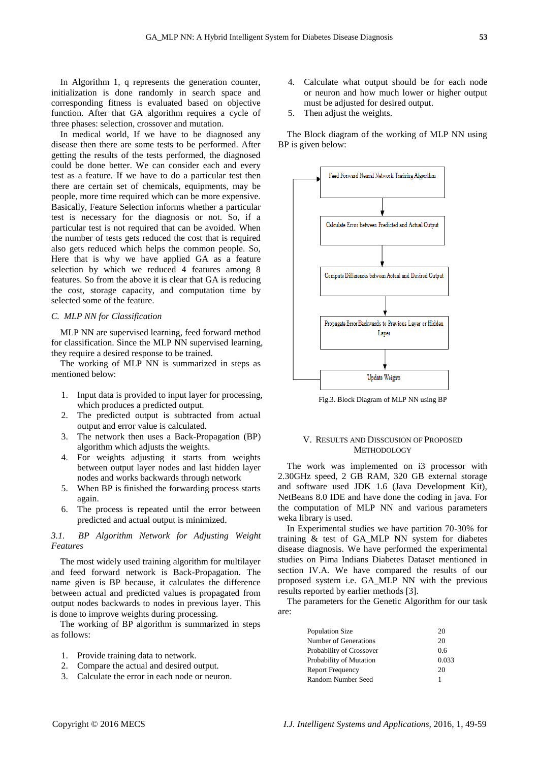In Algorithm 1, q represents the generation counter, initialization is done randomly in search space and corresponding fitness is evaluated based on objective function. After that GA algorithm requires a cycle of three phases: selection, crossover and mutation.

In medical world, If we have to be diagnosed any disease then there are some tests to be performed. After getting the results of the tests performed, the diagnosed could be done better. We can consider each and every test as a feature. If we have to do a particular test then there are certain set of chemicals, equipments, may be people, more time required which can be more expensive. Basically, Feature Selection informs whether a particular test is necessary for the diagnosis or not. So, if a particular test is not required that can be avoided. When the number of tests gets reduced the cost that is required also gets reduced which helps the common people. So, Here that is why we have applied GA as a feature selection by which we reduced 4 features among 8 features. So from the above it is clear that GA is reducing the cost, storage capacity, and computation time by selected some of the feature.

## *C. MLP NN for Classification*

MLP NN are supervised learning, feed forward method for classification. Since the MLP NN supervised learning, they require a desired response to be trained.

The working of MLP NN is summarized in steps as mentioned below:

- 1. Input data is provided to input layer for processing, which produces a predicted output.
- 2. The predicted output is subtracted from actual output and error value is calculated.
- 3. The network then uses a Back-Propagation (BP) algorithm which adjusts the weights.
- 4. For weights adjusting it starts from weights between output layer nodes and last hidden layer nodes and works backwards through network
- 5. When BP is finished the forwarding process starts again.
- 6. The process is repeated until the error between predicted and actual output is minimized.

# *3.1. BP Algorithm Network for Adjusting Weight Features*

The most widely used training algorithm for multilayer and feed forward network is Back-Propagation. The name given is BP because, it calculates the difference between actual and predicted values is propagated from output nodes backwards to nodes in previous layer. This is done to improve weights during processing.

The working of BP algorithm is summarized in steps as follows:

- 1. Provide training data to network.
- 2. Compare the actual and desired output.
- 3. Calculate the error in each node or neuron.
- 4. Calculate what output should be for each node or neuron and how much lower or higher output must be adjusted for desired output.
- 5. Then adjust the weights.

The Block diagram of the working of MLP NN using BP is given below:



Fig.3. Block Diagram of MLP NN using BP

# V. RESULTS AND DISSCUSION OF PROPOSED METHODOLOGY

The work was implemented on i3 processor with 2.30GHz speed, 2 GB RAM, 320 GB external storage and software used JDK 1.6 (Java Development Kit), NetBeans 8.0 IDE and have done the coding in java. For the computation of MLP NN and various parameters weka library is used.

In Experimental studies we have partition 70-30% for training & test of GA\_MLP NN system for diabetes disease diagnosis. We have performed the experimental studies on Pima Indians Diabetes Dataset mentioned in section IV.A. We have compared the results of our proposed system i.e. GA\_MLP NN with the previous results reported by earlier methods [3].

The parameters for the Genetic Algorithm for our task are:

| Population Size          | 20    |
|--------------------------|-------|
| Number of Generations    | 20    |
| Probability of Crossover | 0.6   |
| Probability of Mutation  | 0.033 |
| Report Frequency         | 20    |
| Random Number Seed       |       |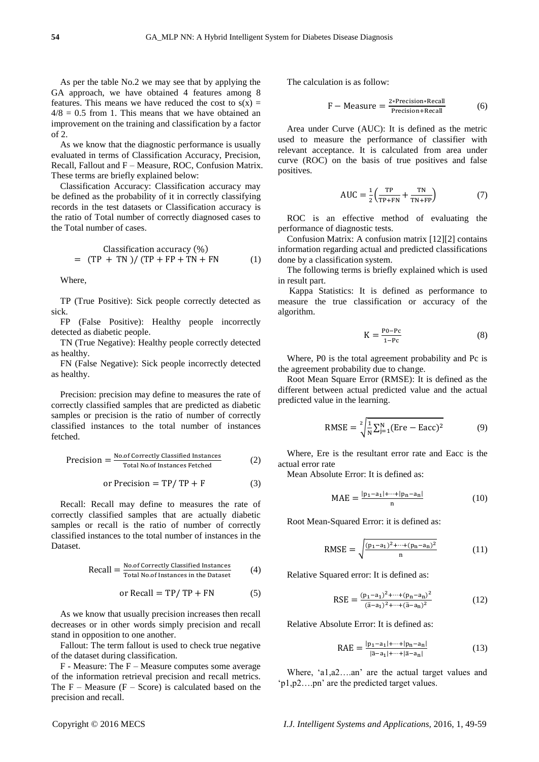As per the table No.2 we may see that by applying the GA approach, we have obtained 4 features among 8 features. This means we have reduced the cost to  $s(x) =$  $4/8 = 0.5$  from 1. This means that we have obtained an improvement on the training and classification by a factor of 2.

As we know that the diagnostic performance is usually evaluated in terms of Classification Accuracy, Precision, Recall, Fallout and F – Measure, ROC, Confusion Matrix. These terms are briefly explained below:

Classification Accuracy: Classification accuracy may be defined as the probability of it in correctly classifying records in the test datasets or Classification accuracy is the ratio of Total number of correctly diagnosed cases to the Total number of cases.

Classification accuracy (%)  
= 
$$
(TP + TN)/(TP + FP + TN + FN
$$
 (1)

Where,

TP (True Positive): Sick people correctly detected as sick.

FP (False Positive): Healthy people incorrectly detected as diabetic people.

TN (True Negative): Healthy people correctly detected as healthy.

FN (False Negative): Sick people incorrectly detected as healthy.

Precision: precision may define to measures the rate of correctly classified samples that are predicted as diabetic samples or precision is the ratio of number of correctly classified instances to the total number of instances fetched.

$$
Precision = \frac{No.f Correctly Classical instances}{Total No. of instances Fetched}
$$
 (2)

or Precision = TP/ TP + F 
$$
(3)
$$

Recall: Recall may define to measures the rate of correctly classified samples that are actually diabetic samples or recall is the ratio of number of correctly classified instances to the total number of instances in the Dataset.

Recall = 
$$
\frac{\text{No. of correctly Classical Instantes}}{\text{Total No. of Instantes in the Dataset}}
$$
 (4)

or Recall = TP/ TP + FN 
$$
(5)
$$

As we know that usually precision increases then recall decreases or in other words simply precision and recall stand in opposition to one another.

Fallout: The term fallout is used to check true negative of the dataset during classification.

F - Measure: The F – Measure computes some average of the information retrieval precision and recall metrics. The  $F - Measure$  ( $F - Score$ ) is calculated based on the precision and recall.

The calculation is as follow:

$$
F - Measure = \frac{2 \cdot Precision \cdot Recall}{Precision + Recall}
$$
 (6)

Area under Curve (AUC): It is defined as the metric used to measure the performance of classifier with relevant acceptance. It is calculated from area under curve (ROC) on the basis of true positives and false positives.

$$
AUC = \frac{1}{2} \left( \frac{TP}{TP + FN} + \frac{TN}{TN + FP} \right) \tag{7}
$$

ROC is an effective method of evaluating the performance of diagnostic tests.

Confusion Matrix: A confusion matrix [12][2] contains information regarding actual and predicted classifications done by a classification system.

The following terms is briefly explained which is used in result part.

Kappa Statistics: It is defined as performance to measure the true classification or accuracy of the algorithm.

$$
K = \frac{P0 - Pc}{1 - Pc} \tag{8}
$$

Where, P0 is the total agreement probability and Pc is the agreement probability due to change.

Root Mean Square Error (RMSE): It is defined as the different between actual predicted value and the actual predicted value in the learning.

$$
RMSE = \sqrt[2]{\frac{1}{N} \sum_{j=1}^{N} (\text{Ere} - \text{Eacc})^2}
$$
 (9)

Where, Ere is the resultant error rate and Eacc is the actual error rate

Mean Absolute Error: It is defined as:

$$
MAE = \frac{|p_1 - a_1| + \dots + |p_n - a_n|}{n}
$$
 (10)

Root Mean-Squared Error: it is defined as:

RMSE = 
$$
\sqrt{\frac{(p_1 - a_1)^2 + \dots + (p_n - a_n)^2}{n}}
$$
 (11)

Relative Squared error: It is defined as:

$$
RSE = \frac{(p_1 - a_1)^2 + \dots + (p_n - a_n)^2}{(\bar{a} - a_1)^2 + \dots + (\bar{a} - a_n)^2}
$$
(12)

Relative Absolute Error: It is defined as:

$$
RAE = \frac{|p_1 - a_1| + \dots + |p_n - a_n|}{|\bar{a} - a_1| + \dots + |\bar{a} - a_n|}
$$
(13)

Where, 'a1,a2….an' are the actual target values and 'p1,p2….pn' are the predicted target values.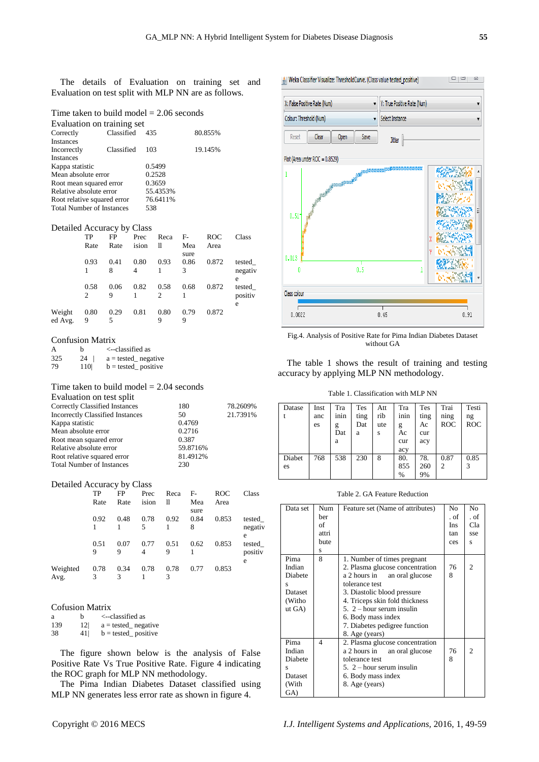The details of Evaluation on training set and Evaluation on test split with MLP NN are as follows.

# Time taken to build model = 2.06 seconds

| Evaluation on training set       |            |          |         |  |  |  |
|----------------------------------|------------|----------|---------|--|--|--|
| Correctly                        | Classified | 435      | 80.855% |  |  |  |
| <b>Instances</b>                 |            |          |         |  |  |  |
| Incorrectly                      | Classified | 103      | 19.145% |  |  |  |
| <b>Instances</b>                 |            |          |         |  |  |  |
| Kappa statistic                  |            | 0.5499   |         |  |  |  |
| Mean absolute error              |            | 0.2528   |         |  |  |  |
| Root mean squared error          |            | 0.3659   |         |  |  |  |
| Relative absolute error          |            | 55.4353% |         |  |  |  |
| Root relative squared error      |            | 76.6411% |         |  |  |  |
| <b>Total Number of Instances</b> |            | 538      |         |  |  |  |

#### Detailed Accuracy by Class

|                   | TP        | <b>FP</b> | Prec      | Reca      | $F-$        | <b>ROC</b> | Class                  |
|-------------------|-----------|-----------|-----------|-----------|-------------|------------|------------------------|
|                   | Rate      | Rate      | ision     | 11        | Mea<br>sure | Area       |                        |
|                   | 0.93      | 0.41<br>8 | 0.80<br>4 | 0.93      | 0.86<br>3   | 0.872      | tested<br>negativ<br>e |
|                   | 0.58<br>2 | 0.06<br>9 | 0.82      | 0.58<br>2 | 0.68        | 0.872      | tested<br>positiv<br>e |
| Weight<br>ed Avg. | 0.80<br>9 | 0.29<br>5 | 0.81      | 0.80<br>9 | 0.79<br>9   | 0.872      |                        |

#### Confusion Matrix

| A   | h   | <--classified as      |
|-----|-----|-----------------------|
| 325 | 24  | $a = tested$ negative |
| 79  | 110 | $b = tested$ positive |

# Time taken to build model  $= 2.04$  seconds

| 180      | 78.2609% |
|----------|----------|
| 50       | 21.7391% |
| 0.4769   |          |
| 0.2716   |          |
| 0.387    |          |
| 59.8716% |          |
| 81.4912% |          |
| 230      |          |
|          |          |

#### Detailed Accuracy by Class

|                  | TP<br>Rate | FP<br>Rate | Prec<br>ision | Reca<br>11 | $F-$<br>Mea       | ROC<br>Area | Class                       |
|------------------|------------|------------|---------------|------------|-------------------|-------------|-----------------------------|
|                  | 0.92       | 0.48       | 0.78<br>5     | 0.92       | sure<br>0.84<br>8 | 0.853       | tested<br>negativ           |
|                  | 0.51<br>9  | 0.07<br>9  | 0.77<br>4     | 0.51<br>9  | 0.62              | 0.853       | e<br>tested<br>positiv<br>e |
| Weighted<br>Avg. | 0.78<br>3  | 0.34<br>3  | 0.78          | 0.78<br>3  | 0.77              | 0.853       |                             |

#### Cofusion Matrix

| ā   | h               | $\le$ --classified as        |
|-----|-----------------|------------------------------|
| 139 | 12 <sup>l</sup> | $a =$ tested negative        |
| 38  | 41              | $b = \text{tested}$ positive |

The figure shown below is the analysis of False Positive Rate Vs True Positive Rate. Figure 4 indicating the ROC graph for MLP NN methodology.

The Pima Indian Diabetes Dataset classified using MLP NN generates less error rate as shown in figure 4.



Fig.4. Analysis of Positive Rate for Pima Indian Diabetes Dataset without GA

The table 1 shows the result of training and testing accuracy by applying MLP NN methodology.

Table 1. Classification with MLP NN

| Datase       | Inst<br>anc<br>es | Tra<br>inin<br>g<br>Dat<br>a | Tes<br>ting<br>Dat<br>a | Att<br>rib<br>ute<br>S | Tra<br>inin<br>g<br>Ac<br>cur<br>acy | <b>Tes</b><br>ting<br>Ac<br>cur<br>acy | Trai<br>ning<br><b>ROC</b> | Testi<br>ng<br><b>ROC</b> |
|--------------|-------------------|------------------------------|-------------------------|------------------------|--------------------------------------|----------------------------------------|----------------------------|---------------------------|
| Diabet<br>es | 768               | 538                          | 230                     | 8                      | 80.<br>855<br>%                      | 78.<br>260<br>9%                       | 0.87<br>2                  | 0.85<br>3                 |

Table 2. GA Feature Reduction

| Data set | Num            | Feature set (Name of attributes) | N <sub>0</sub> | N <sub>0</sub> |
|----------|----------------|----------------------------------|----------------|----------------|
|          | ber            |                                  | . of           | . of           |
|          | of             |                                  | <b>Ins</b>     | Cla            |
|          | attri          |                                  | tan            | sse            |
|          | bute           |                                  | ces            | s              |
|          | s              |                                  |                |                |
| Pima     | 8              | 1. Number of times pregnant      |                |                |
| Indian   |                | 2. Plasma glucose concentration  | 76             | $\mathcal{L}$  |
| Diabete  |                | a 2 hours in<br>an oral glucose  | 8              |                |
| s        |                | tolerance test                   |                |                |
| Dataset  |                | 3. Diastolic blood pressure      |                |                |
| (Witho   |                | 4. Triceps skin fold thickness   |                |                |
| ut GA)   |                | 5. 2 – hour serum insulin        |                |                |
|          |                | 6. Body mass index               |                |                |
|          |                | 7. Diabetes pedigree function    |                |                |
|          |                | 8. Age (years)                   |                |                |
| Pima     | $\overline{4}$ | 2. Plasma glucose concentration  |                |                |
| Indian   |                | a 2 hours in<br>an oral glucose  | 76             | 2              |
| Diabete  |                | tolerance test                   | 8              |                |
| s        |                | $5. 2$ – hour serum insulin      |                |                |
| Dataset  |                | 6. Body mass index               |                |                |
| (With    |                | 8. Age (years)                   |                |                |
| GA)      |                |                                  |                |                |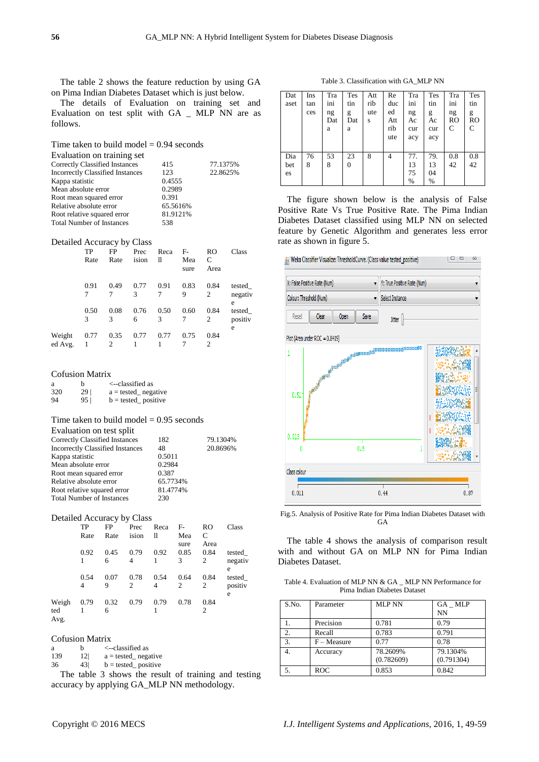The table 2 shows the feature reduction by using GA on Pima Indian Diabetes Dataset which is just below.

The details of Evaluation on training set and Evaluation on test split with GA \_ MLP NN are as follows.

Time taken to build model  $= 0.94$  seconds

| Evaluation on training set              |          |          |
|-----------------------------------------|----------|----------|
| Correctly Classified Instances          | 415      | 77.1375% |
| <b>Incorrectly Classified Instances</b> | 123      | 22.8625% |
| Kappa statistic                         | 0.4555   |          |
| Mean absolute error                     | 0.2989   |          |
| Root mean squared error                 | 0.391    |          |
| Relative absolute error                 | 65.5616% |          |
| Root relative squared error             | 81.9121% |          |
| <b>Total Number of Instances</b>        | 538      |          |
|                                         |          |          |

#### Detailed Accuracy by Class

|                   | TP<br>Rate | FP<br>Rate | Prec<br>ision | Reca<br>11 | $F-$<br>Mea<br>sure | RO<br>C<br>Area | Class                  |
|-------------------|------------|------------|---------------|------------|---------------------|-----------------|------------------------|
|                   | 0.91       | 0.49       | 0.77<br>3     | 0.91<br>7  | 0.83<br>9           | 0.84<br>2       | tested<br>negativ<br>e |
|                   | 0.50<br>3  | 0.08<br>3  | 0.76<br>6     | 0.50<br>3  | 0.60                | 0.84<br>2       | tested<br>positiv<br>e |
| Weight<br>ed Avg. | 0.77       | 0.35<br>2  | 0.77          | 0.77       | 0.75                | 0.84<br>2       |                        |

## Cofusion Matrix

| a   | h               | <--classified as             |
|-----|-----------------|------------------------------|
| 320 | 29 <sub>1</sub> | $a =$ tested negative        |
| 94  | 95 <sup>2</sup> | $b = \text{tested}$ positive |

# Time taken to build model  $= 0.95$  seconds

| Evaluation on test split                |          |          |
|-----------------------------------------|----------|----------|
| <b>Correctly Classified Instances</b>   | 182      | 79.1304% |
| <b>Incorrectly Classified Instances</b> | 48       | 20.8696% |
| Kappa statistic                         | 0.5011   |          |
| Mean absolute error                     | 0.2984   |          |
| Root mean squared error                 | 0.387    |          |
| Relative absolute error                 | 65.7734% |          |
| Root relative squared error             | 81.4774% |          |
| <b>Total Number of Instances</b>        | 230      |          |

#### Detailed Accuracy by Class

| TP   | <b>FP</b> | Prec  | Reca | $F-$ | RO   | Class   |
|------|-----------|-------|------|------|------|---------|
| Rate | Rate      | ision | 11   | Mea  | C    |         |
|      |           |       |      | sure | Area |         |
| 0.92 | 0.45      | 0.79  | 0.92 |      | 0.84 | tested  |
|      | 6         | 4     |      | 3    | 2    | negativ |
|      |           |       |      |      |      | e       |
| 0.54 | 0.07      | 0.78  | 0.54 | 0.64 | 0.84 | tested  |
| 4    | 9         | 2     | 4    | 2    | 2    | positiv |
|      |           |       |      |      |      | e       |
| 0.79 |           | 0.79  | 0.79 | 0.78 | 0.84 |         |
|      | 6         |       |      |      | 2    |         |
|      |           | 0.32  |      |      | 0.85 |         |

#### Cofusion Matrix

| a   | h  | <--classified as      |  |
|-----|----|-----------------------|--|
| 139 | 12 | $a = tested$ negative |  |

 $36 \t 43$  b = tested\_positive

The table 3 shows the result of training and testing accuracy by applying GA\_MLP NN methodology.

Table 3. Classification with GA\_MLP NN

| Dat<br>aset      | Ins<br>tan<br>ces | Tra<br>ini<br>ng<br>Dat<br>a | <b>Tes</b><br>tin<br>g<br>Dat<br>a | Att<br>rib<br>ute<br>S | Re<br>duc<br>ed<br>Att<br>rib<br>ute | Tra<br>ini<br>ng<br>Ac<br>cur<br>acy | Tes<br>tin<br>g<br>Ac<br>cur<br>acy | Tra<br>ini<br>ng<br>RO<br>C | Tes<br>tin<br>g<br>RO<br>C |
|------------------|-------------------|------------------------------|------------------------------------|------------------------|--------------------------------------|--------------------------------------|-------------------------------------|-----------------------------|----------------------------|
| Dia<br>bet<br>es | 76<br>8           | 53<br>8                      | 23<br>0                            | 8                      | 4                                    | 77.<br>13<br>75<br>%                 | 79.<br>13<br>04<br>%                | 0.8<br>42                   | 0.8<br>42                  |

The figure shown below is the analysis of False Positive Rate Vs True Positive Rate. The Pima Indian Diabetes Dataset classified using MLP NN on selected feature by Genetic Algorithm and generates less error rate as shown in figure 5.



Fig.5. Analysis of Positive Rate for Pima Indian Diabetes Dataset with **GA** 

The table 4 shows the analysis of comparison result with and without GA on MLP NN for Pima Indian Diabetes Dataset.

Table 4. Evaluation of MLP NN & GA MLP NN Performance for Pima Indian Diabetes Dataset

| S.No.            | Parameter     | <b>MLP NN</b>          | GA MLP<br><b>NN</b>    |
|------------------|---------------|------------------------|------------------------|
|                  | Precision     | 0.781                  | 0.79                   |
| $\overline{2}$ . | Recall        | 0.783                  | 0.791                  |
| 3.               | $F - Measure$ | 0.77                   | 0.78                   |
|                  | Accuracy      | 78.2609%<br>(0.782609) | 79.1304%<br>(0.791304) |
|                  | <b>ROC</b>    | 0.853                  | 0.842                  |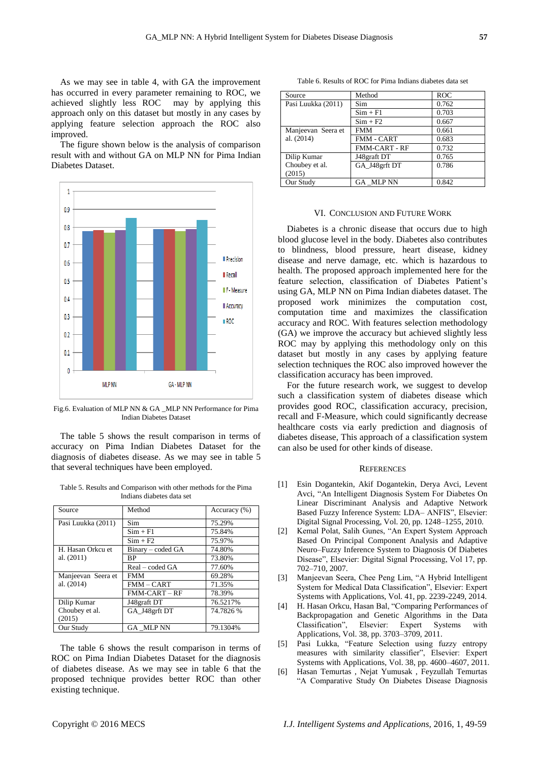As we may see in table 4, with GA the improvement has occurred in every parameter remaining to ROC, we achieved slightly less ROC may by applying this approach only on this dataset but mostly in any cases by applying feature selection approach the ROC also improved.

The figure shown below is the analysis of comparison result with and without GA on MLP NN for Pima Indian Diabetes Dataset.



Fig.6. Evaluation of MLP NN & GA \_MLP NN Performance for Pima Indian Diabetes Dataset

The table 5 shows the result comparison in terms of accuracy on Pima Indian Diabetes Dataset for the diagnosis of diabetes disease. As we may see in table 5 that several techniques have been employed.

Table 5. Results and Comparison with other methods for the Pima Indians diabetes data set

| Source             | Method            | Accuracy (%) |
|--------------------|-------------------|--------------|
| Pasi Luukka (2011) | Sim               | 75.29%       |
|                    | $Sim + F1$        | 75.84%       |
|                    | $Sim + F2$        | 75.97%       |
| H. Hasan Orkcu et  | Binary – coded GA | 74.80%       |
| al. $(2011)$       | <b>BP</b>         | 73.80%       |
|                    | Real – coded GA   | 77.60%       |
| Manjeevan Seera et | <b>FMM</b>        | 69.28%       |
| al. (2014)         | $FMM - CART$      | 71.35%       |
|                    | $FMM-CART - RF$   | 78.39%       |
| Dilip Kumar        | J48graft DT       | 76.5217%     |
| Choubey et al.     | GA_J48grft DT     | 74.7826 %    |
| (2015)             |                   |              |
| Our Study          | GA MLP NN         | 79.1304%     |

The table 6 shows the result comparison in terms of ROC on Pima Indian Diabetes Dataset for the diagnosis of diabetes disease. As we may see in table 6 that the proposed technique provides better ROC than other existing technique.

Table 6. Results of ROC for Pima Indians diabetes data set

| Source             | Method               | <b>ROC</b> |
|--------------------|----------------------|------------|
| Pasi Luukka (2011) | Sim                  | 0.762      |
|                    | $Sim + F1$           | 0.703      |
|                    | $Sim + F2$           | 0.667      |
| Manjeevan Seera et | <b>FMM</b>           | 0.661      |
| al. $(2014)$       | <b>FMM - CART</b>    | 0.683      |
|                    | <b>FMM-CART - RF</b> | 0.732      |
| Dilip Kumar        | J48graft DT          | 0.765      |
| Choubey et al.     | GA_J48grft DT        | 0.786      |
| (2015)             |                      |            |
| Our Study          | GA MLP NN            | 0.842      |

## VI. CONCLUSION AND FUTURE WORK

Diabetes is a chronic disease that occurs due to high blood glucose level in the body. Diabetes also contributes to blindness, blood pressure, heart disease, kidney disease and nerve damage, etc. which is hazardous to health. The proposed approach implemented here for the feature selection, classification of Diabetes Patient's using GA, MLP NN on Pima Indian diabetes dataset. The proposed work minimizes the computation cost, computation time and maximizes the classification accuracy and ROC. With features selection methodology (GA) we improve the accuracy but achieved slightly less ROC may by applying this methodology only on this dataset but mostly in any cases by applying feature selection techniques the ROC also improved however the classification accuracy has been improved.

For the future research work, we suggest to develop such a classification system of diabetes disease which provides good ROC, classification accuracy, precision, recall and F-Measure, which could significantly decrease healthcare costs via early prediction and diagnosis of diabetes disease, This approach of a classification system can also be used for other kinds of disease.

#### **REFERENCES**

- [1] Esin Dogantekin, Akif Dogantekin, Derya Avci, Levent Avci, "An Intelligent Diagnosis System For Diabetes On Linear Discriminant Analysis and Adaptive Network Based Fuzzy Inference System: LDA– ANFIS", Elsevier: Digital Signal Processing, Vol. 20, pp. 1248–1255, 2010.
- [2] Kemal Polat, Salih Gunes, "An Expert System Approach Based On Principal Component Analysis and Adaptive Neuro–Fuzzy Inference System to Diagnosis Of Diabetes Disease", Elsevier: Digital Signal Processing, Vol 17, pp. 702–710, 2007.
- [3] Manjeevan Seera, Chee Peng Lim, "A Hybrid Intelligent System for Medical Data Classification", Elsevier: Expert Systems with Applications, Vol. 41, pp. 2239-2249, 2014.
- [4] H. Hasan Orkcu, Hasan Bal, "Comparing Performances of Backpropagation and Genetic Algorithms in the Data Classification", Elsevier: Expert Systems with Applications, Vol. 38, pp. 3703–3709, 2011.
- [5] Pasi Lukka, "Feature Selection using fuzzy entropy measures with similarity classifier", Elsevier: Expert Systems with Applications, Vol. 38, pp. 4600–4607, 2011.
- [6] Hasan Temurtas , Nejat Yumusak , Feyzullah Temurtas "A Comparative Study On Diabetes Disease Diagnosis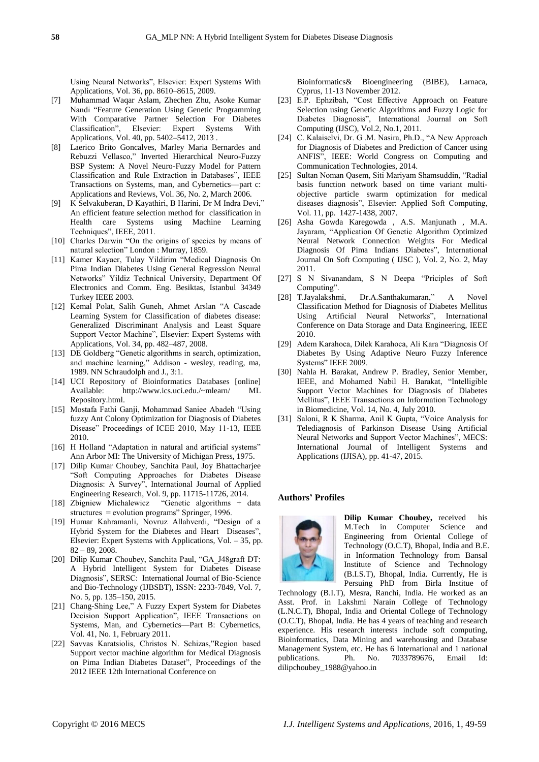Using Neural Networks", Elsevier: Expert Systems With Applications, Vol. 36, pp. 8610–8615, 2009.

- [7] Muhammad Waqar Aslam, Zhechen Zhu, Asoke Kumar Nandi "Feature Generation Using Genetic Programming With Comparative Partner Selection For Diabetes<br>Classification", Elsevier: Expert Systems With Classification", Elsevier: Expert Systems With Applications, Vol. 40, pp. 5402–5412, 2013 .
- [8] Laerico Brito Goncalves, Marley Maria Bernardes and Rebuzzi Vellasco," Inverted Hierarchical Neuro-Fuzzy BSP System: A Novel Neuro-Fuzzy Model for Pattern Classification and Rule Extraction in Databases", IEEE Transactions on Systems, man, and Cybernetics—part c: Applications and Reviews, Vol. 36, No. 2, March 2006.
- [9] K Selvakuberan, D Kayathiri, B Harini, Dr M Indra Devi," An efficient feature selection method for classification in Health care Systems using Machine Learning Techniques", IEEE, 2011.
- [10] Charles Darwin "On the origins of species by means of natural selection" London : Murray, 1859.
- [11] Kamer Kayaer, Tulay Yildirim "Medical Diagnosis On Pima Indian Diabetes Using General Regression Neural Networks" Yildiz Technical University, Department Of Electronics and Comm. Eng. Besiktas, Istanbul 34349 Turkey IEEE 2003.
- [12] Kemal Polat, Salih Guneh, Ahmet Arslan "A Cascade Learning System for Classification of diabetes disease: Generalized Discriminant Analysis and Least Square Support Vector Machine", Elsevier: Expert Systems with Applications, Vol. 34, pp. 482–487, 2008.
- [13] DE Goldberg "Genetic algorithms in search, optimization, and machine learning," Addison - wesley, reading, ma, 1989. NN Schraudolph and J., 3:1.
- [14] UCI Repository of Bioinformatics Databases [online] http://www.ics.uci.edu./~mlearn/ ML Repository.html.
- [15] Mostafa Fathi Ganji, Mohammad Saniee Abadeh "Using fuzzy Ant Colony Optimization for Diagnosis of Diabetes Disease" Proceedings of ICEE 2010, May 11-13, IEEE 2010.
- [16] H Holland "Adaptation in natural and artificial systems" Ann Arbor MI: The University of Michigan Press, 1975.
- [17] Dilip Kumar Choubey, Sanchita Paul, Joy Bhattacharjee "Soft Computing Approaches for Diabetes Disease Diagnosis: A Survey", International Journal of Applied Engineering Research, Vol. 9, pp. 11715-11726, 2014.
- [18] Zbigniew Michalewicz "Genetic algorithms + data structures = evolution programs" Springer, 1996.
- [19] Humar Kahramanli, Novruz Allahverdi, "Design of a Hybrid System for the Diabetes and Heart Diseases", Elsevier: Expert Systems with Applications, Vol. – 35, pp. 82 – 89, 2008.
- [20] Dilip Kumar Choubey, Sanchita Paul, "GA\_J48graft DT: A Hybrid Intelligent System for Diabetes Disease Diagnosis", SERSC: International Journal of Bio-Science and Bio-Technology (IJBSBT), ISSN: 2233-7849, Vol. 7, No. 5, pp. 135–150, 2015.
- [21] Chang-Shing Lee," A Fuzzy Expert System for Diabetes Decision Support Application", IEEE Transactions on Systems, Man, and Cybernetics—Part B: Cybernetics, Vol. 41, No. 1, February 2011.
- [22] Savvas Karatsiolis, Christos N. Schizas,"Region based Support vector machine algorithm for Medical Diagnosis on Pima Indian Diabetes Dataset", Proceedings of the 2012 IEEE 12th International Conference on

Bioinformatics& Bioengineering (BIBE), Larnaca, Cyprus, 11-13 November 2012.

- [23] E.P. Ephzibah, "Cost Effective Approach on Feature Selection using Genetic Algorithms and Fuzzy Logic for Diabetes Diagnosis", International Journal on Soft Computing (IJSC), Vol.2, No.1, 2011.
- [24] C. Kalaiselvi, Dr. G .M. Nasira, Ph.D., "A New Approach for Diagnosis of Diabetes and Prediction of Cancer using ANFIS", IEEE: World Congress on Computing and Communication Technologies, 2014.
- [25] Sultan Noman Qasem, Siti Mariyam Shamsuddin, "Radial basis function network based on time variant multiobjective particle swarm optimization for medical diseases diagnosis", Elsevier: Applied Soft Computing, Vol. 11, pp. 1427-1438, 2007.
- [26] Asha Gowda Karegowda , A.S. Manjunath , M.A. Jayaram, "Application Of Genetic Algorithm Optimized Neural Network Connection Weights For Medical Diagnosis Of Pima Indians Diabetes", International Journal On Soft Computing ( IJSC ), Vol. 2, No. 2, May 2011.
- [27] S N Sivanandam, S N Deepa "Priciples of Soft Computing".
- [28] T.Jayalakshmi, Dr.A.Santhakumaran," A Novel Classification Method for Diagnosis of Diabetes Mellitus Using Artificial Neural Networks", International Conference on Data Storage and Data Engineering, IEEE 2010.
- [29] Adem Karahoca, Dilek Karahoca, Ali Kara "Diagnosis Of Diabetes By Using Adaptive Neuro Fuzzy Inference Systems" IEEE 2009.
- [30] Nahla H. Barakat, Andrew P. Bradley, Senior Member, IEEE, and Mohamed Nabil H. Barakat, "Intelligible Support Vector Machines for Diagnosis of Diabetes Mellitus", IEEE Transactions on Information Technology in Biomedicine, Vol. 14, No. 4, July 2010.
- [31] Saloni, R K Sharma, Anil K Gupta, "Voice Analysis for Telediagnosis of Parkinson Disease Using Artificial Neural Networks and Support Vector Machines", MECS: International Journal of Intelligent Systems and Applications (IJISA), pp. 41-47, 2015.

#### **Authors' Profiles**



**Dilip Kumar Choubey,** received his M.Tech in Computer Science and Engineering from Oriental College of Technology (O.C.T), Bhopal, India and B.E. in Information Technology from Bansal Institute of Science and Technology (B.I.S.T), Bhopal, India. Currently, He is Persuing PhD from Birla Institue of

Technology (B.I.T), Mesra, Ranchi, India. He worked as an Asst. Prof. in Lakshmi Narain College of Technology (L.N.C.T), Bhopal, India and Oriental College of Technology (O.C.T), Bhopal, India. He has 4 years of teaching and research experience. His research interests include soft computing, Bioinformatics, Data Mining and warehousing and Database Management System, etc. He has 6 International and 1 national publications. Ph. No. 7033789676, Email Id: dilipchoubey\_1988@yahoo.in